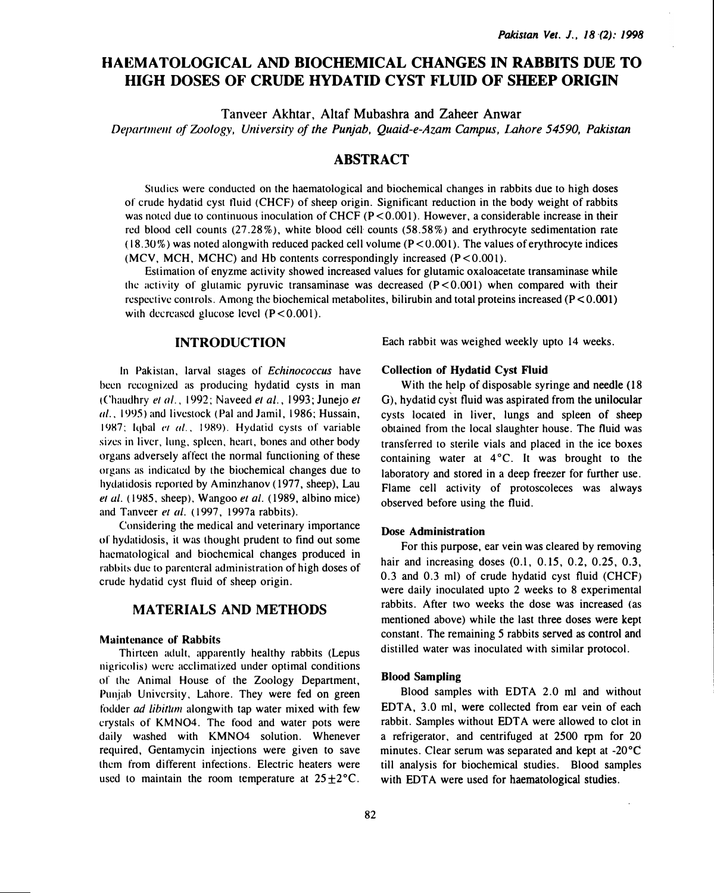# HAEMATOLOGICAL AND BIOCHEMICAL CHANGES IN RABBITS DUE TO HIGH DOSES OF CRUDE HYDATID CYST FLUID OF SHEEP ORIGIN

Tanveer Akhtar, Altaf Mubashra and Zaheer Anwar

Department of Zoology, University of the Punjab, Quaid-e-Azam Campus, Lahore 54590, Pakistan

# ABSTRACT

Studies were conducted on the haematological and biochemical changes in rabbits due to high doses of crude hydatid cyst tluid (CHCF) of sheep origin. Significant reduction in the body weight of rabbits was noted due to continuous inoculation of CHCF (P<0.001). However, a considerable increase in their red blood cell counts (27 .28% ), white blood cell counts (58.58%) and erythrocyte sedimentation rate  $(18.30\%)$  was noted alongwith reduced packed cell volume (P < 0.001). The values of erythrocyte indices (MCV, MCH, MCHC) and Hb contents correspondingly increased  $(P < 0.001)$ .

Estimation of enyzme activity showed increased values for glutamic oxaloacetate transaminase while the activity of glutamic pyruvic transaminase was decreased  $(P<0.001)$  when compared with their respective controls. Among the biochemical metabolites, bilirubin and total proteins increased ( $P < 0.001$ ) with decreased glucose level  $(P<0.001)$ .

## INTRODUCTION

In Pakistan, larval stages of Echinococcus have been recognized as producing hydatid cysts in man (Chaudhry el a/., 1992; Naveed el al., 1993; Junejo et al., 1995) and livestock (Pal and Jamil, 1986; Hussain, 1987; Iqbal et al., 1989). Hydatid cysts of variable sizes in liver, lung, spleen, heart, bones and other body organs adversely affect the normal functioning of these organs as indicated by the biochemical changes due to hydatidosis reported by Aminzhanov (1977, sheep), Lau et al. (1985, sheep), Wangoo et al. (1989, albino mice) and Tanveer et al. (1997, 1997a rabbits).

Considering the medical and veterinary importance of hydatidosis, it was thought prudent to find out some hacmatological and biochemical changes produced in rabbits due to parenteral administration of high doses of crude hydatid cyst fluid of sheep origin.

# MATERIALS AND METHODS

#### Maintenance of Rabbits

Thirteen adult, apparently healthy rabbits (Lepus nigricolis> were acclimatized under optimal conditions of the Animal House of the Zoology Department, Punjab University, Lahore. They were fed on green fodder *ad libitum* alongwith tap water mixed with few crystals of KMN04. The food and water pots were daily washed with KMN04 solution. Whenever required, Gentamycin injections were given to save them from different infections. Electric heaters were used to maintain the room temperature at  $25 \pm 2^{\circ}$ C.

Each rabbit was weighed weekly upto 14 weeks.

# Collection of Hydatid Cyst Fluid

With the help of disposable syringe and needle (18) G), hydatid cyst fluid was aspirated from the unilocular cysts located in liver, lungs and spleen of sheep obtained from the local slaughter house. The fluid was transferred to sterile vials and placed in the ice boxes containing water at  $4^{\circ}$ C. It was brought to the laboratory and stored in a deep freezer for further use. Flame cell activity of protoscoleces was always observed before using the fluid.

## Dose Administration

For this purpose, ear vein was cleared by removing hair and increasing doses (0.1, 0.15, 0.2, 0.25, 0.3, 0.3 and 0.3 ml) of crude hydatid cyst fluid (CHCF) were daily inoculated upto 2 weeks to 8 experimental rabbits. After two weeks the dose was increased (as mentioned above) while the last three doses were kept constant. The remaining 5 rabbits served as control and distilled water was inoculated with similar protocol.

#### **Blood Sampling**

Blood samples with EDTA 2.0 ml and without EDTA, 3.0 ml, were collected from ear vein of each rabbit. Samples without EDT A were allowed to clot in a refrigerator, and centrifuged at 2500 rpm for 20 minutes. Clear serum was separated and kept at -20°C till analysis for biochemical studies. Blood samples with EDTA were used for haematological studies.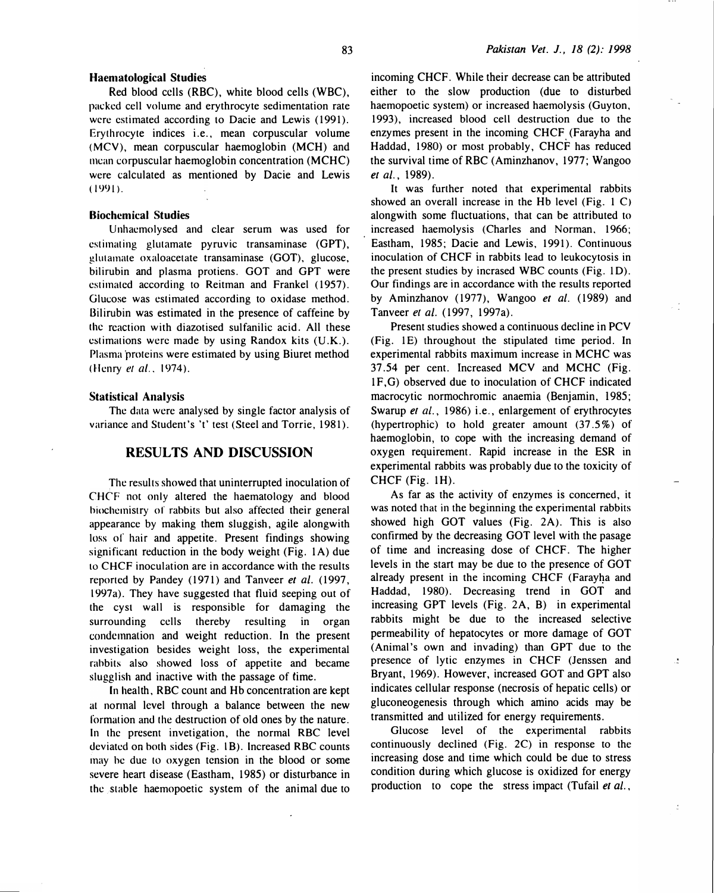83

#### Haematological Studies

Red blood cells (RBC), white blood cells (WBC), packed cell volume and erythrocyte sedimentation rate were estimated according to Dacie and Lewis (1991). Erythrocyte indices i.e., mean corpuscular volume (MCV), mean corpuscular haemoglobin (MCH) and mean corpuscular haemoglobin concentration (MCHC) were calculated as mentioned by Dacie and Lewis  $(1991)$ .

# Biochemical Studies

Unhaemolysed and clear serum was used for estimating glutamate pyruvic transaminase (GPT), glutamate oxaloacetate transaminase (GOT), glucose, bilirubin and plasma protiens. GOT and GPT were estimated according to Reitman and Frankel (1957). Glucose was estimated according to oxidase method. Bilirubin was estimated in the presence of caffeine by the reaction with diazotised sulfanilic acid. All these estimations were made by using Randox kits (U.K.). Plasma proteins were estimated by using Biuret method (Henry et al., 1974).

#### Statistical Analysis

The data were analysed by single factor analysis of variance and Student's 't' test (Steel and Torrie, 1981).

# RESULTS AND DISCUSSION

The results showed that uninterrupted inoculation of CHCF not only altered the haematology and blood biochemistry or rabbits but also affected their general appearance by making them sluggish, agile alongwith loss of hair and appetite. Present findings showing significant reduction in the body weight (Fig.  $1A$ ) due to CHCF inoculation are in accordance with the results reported by Pandey (1971) and Tanveer et al. (1997, l 997a). They have suggested that fluid seeping out of the cyst wall is responsible for damaging the surrounding cells thereby resulting in organ condemnation and weight reduction. In the present investigation besides weight loss, the experimental rabbits also showed loss of appetite and became slugglish and inactive with the passage of time.

In health, RBC count and Hb concentration are kept at normal level through a balance between the new formation and the destruction of old ones by the nature. In the present invetigation, the normal RBC level deviated on both sides (Fig. l B). Increased RBC counts may he due to oxygen tension in the blood or some severe heart disease (Eastham, 1985) or disturbance in the stable haemopoetic system of the animal due to

incoming CHCF. While their decrease can be attributed either to the slow production (due to disturbed haemopoetic system) or increased haemolysis (Guyton, 1993), increased blood cell destruction due to the enzymes present in the incoming CHCF (Farayha and Haddad, 1980) or most probably, CHCF has reduced the survival time of RBC (Aminzhanov, 1977; Wangoo et al., 1989).

It was further noted that experimental rabbits showed an overall increase in the Hb level (Fig. 1 C) alongwith some fluctuations, that can be attributed to increased haemolysis (Charles and Norman. 1966; Eastham, 1985; Dacie and Lewis, 1991). Continuous inoculation of CHCF in rabbits lead to leukocytosis in the present studies by incrased WBC counts (Fig. lD). Our findings are in accordance with the results reported by Aminzhanov (1977), Wangoo et al. (1989) and Tanveer et al. (1997, 1997a).

Present studies showed a continuous decline in PCV (Fig. lE) throughout the stipulated time period. In experimental rabbits maximum increase in MCHC was 37.54 per cent. Increased MCV and MCHC (Fig. 1F,G) observed due to inoculation of CHCF indicated macrocytic normochromic anaemia (Benjamin, 1985; Swarup et al., 1986) i.e., enlargement of erythrocytes (hypertrophic) to hold greater amount (37 .5%) of haemoglobin, to cope with the increasing demand of oxygen requirement. Rapid increase in the ESR in experimental rabbits was probably due to the toxicity of CHCF (Fig. 1H).

As far as the activity of enzymes is concerned, it was noted that in the beginning the experimental rabbits showed high GOT values (Fig. 2A). This is also confirmed by the decreasing GOT level with the pasage of time and increasing dose of CHCF. The higher levels in the start may be due to the presence of GOT already present in the incoming CHCF (Farayha and Haddad, 1980). Decreasing trend in GOT and increasing GPT levels (Fig. 2A, B) in experimental rabbits might be due to the increased selective permeability of hepatocytes or more damage of GOT (Animal's own and invading) than GPT due to the presence of lytic enzymes in CHCF (Jenssen and Bryant, 1969). However, increased GOT and GPT also indicates cellular response (necrosis of hepatic cells) or gluconeogenesis through which amino acids may be transmitted and utilized for energy requirements.

Glucose level of the experimental rabbits continuously declined (Fig. 2C) in response to the increasing dose and time which could be due to stress condition during which glucose is oxidized for energy production to cope the stress impact (Tufail et al.,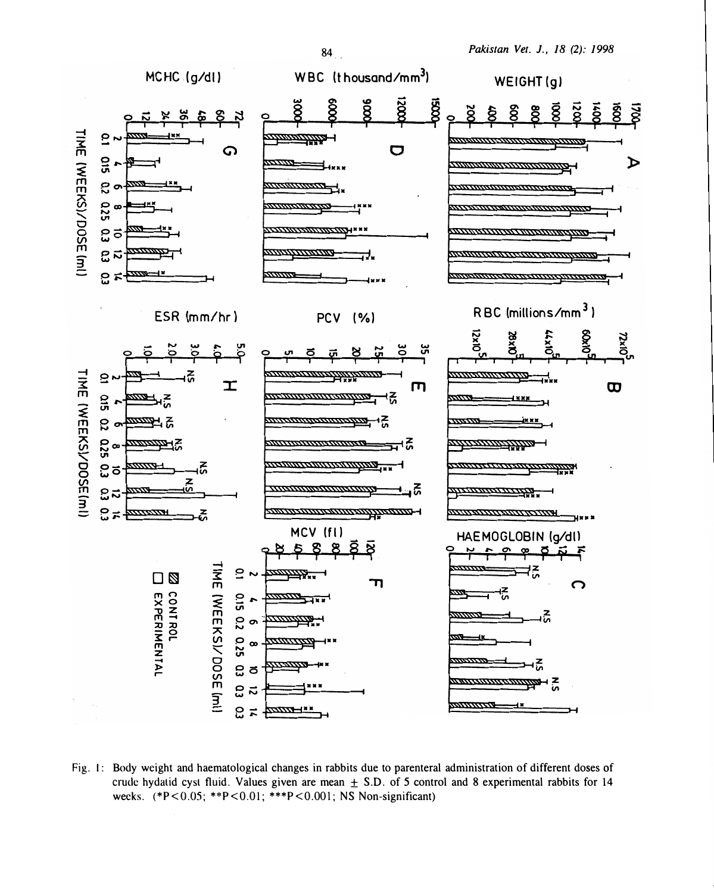

Fig. 1: Body weight and haematological changes in rabbits due to parenteral administration of different doses of crude hydatid cyst fluid. Values given are mean  $\pm$  S.D. of 5 control and 8 experimental rabbits for 14 weeks. (\*P<0.05; \*\*P<0.01; \*\*\*P<0.001; NS Non-significant)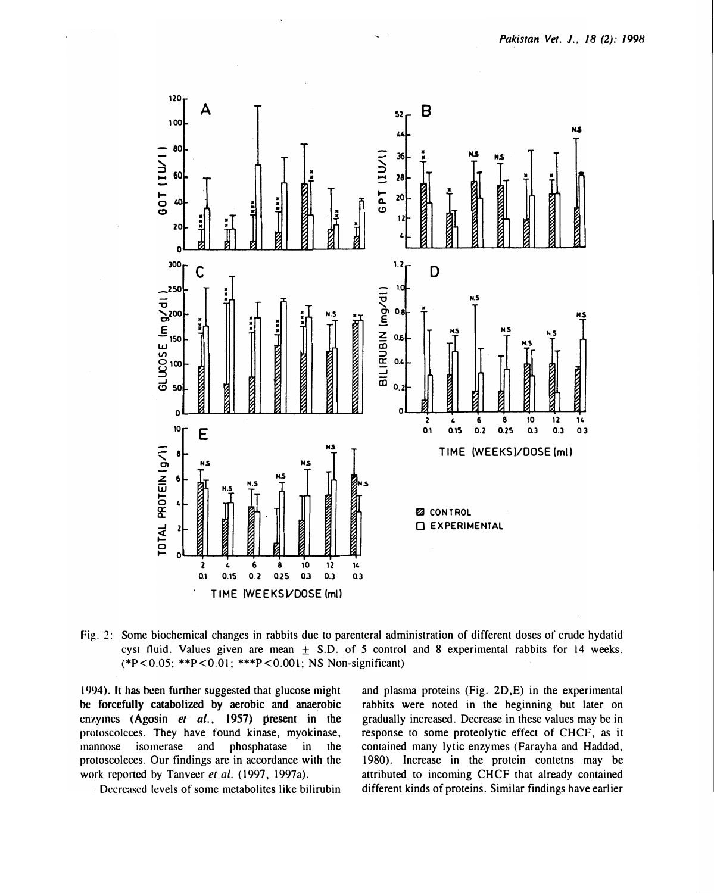

Fig. 2: Some biochemical changes in rabbits due to parenteral administration of different doses of crude hydatid cyst fluid. Values given are mean  $+$  S.D. of 5 control and 8 experimental rabbits for 14 weeks. (\*P<0.05; \*\*P<0.01; \*\*\*P<0.001; NS Non-significant)

1994). It has been further suggested that glucose might be forcefully catabolized by aerobic and anaerobic enzymes (Agosin et al., 1957) present in the protoscolcces. They have found kinase, myokinase, mannose isomerase and phosphatase in the protoscoleces. Our findings are in accordance with the work reported by Tanveer et al. (1997, 1997a).

Decreased levels of some metabolites like bilirubin

and plasma proteins (Fig. 2D,E) in the experimental rabbits were noted in the beginning but later on gradually increased. Decrease in these values may be in response to some proteolytic effect of CHCF, as it contained many lytic enzymes (Farayha and Haddad, 1980). Increase in the protein contetns may be attributed to incoming CHCF that already contained different kinds of proteins. Similar findings have earlier